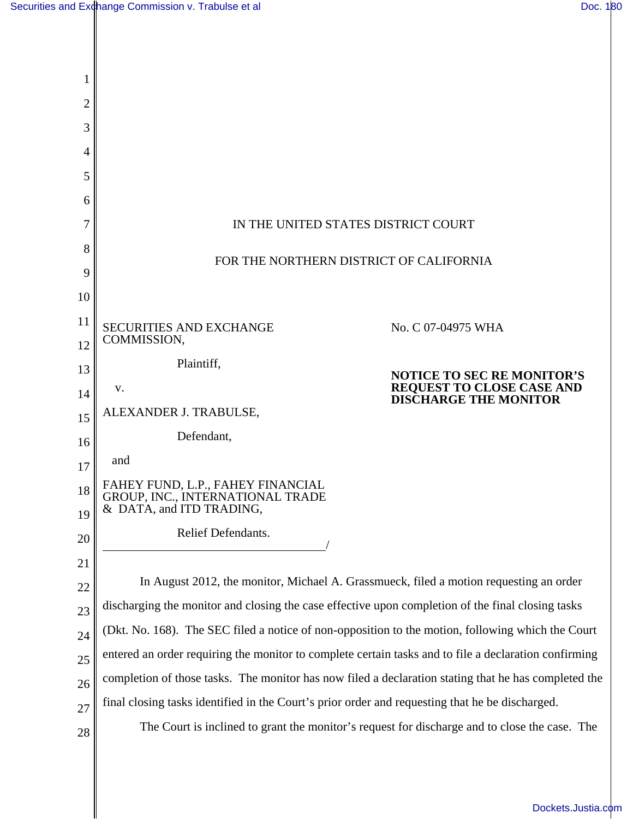| 2        |                                                                                                       |  |  |
|----------|-------------------------------------------------------------------------------------------------------|--|--|
| 3        |                                                                                                       |  |  |
| 4        |                                                                                                       |  |  |
| 5        |                                                                                                       |  |  |
| 6        |                                                                                                       |  |  |
| 7        | IN THE UNITED STATES DISTRICT COURT                                                                   |  |  |
| 8        | FOR THE NORTHERN DISTRICT OF CALIFORNIA                                                               |  |  |
| 9        |                                                                                                       |  |  |
| 10       |                                                                                                       |  |  |
| 11       | <b>SECURITIES AND EXCHANGE</b><br>No. C 07-04975 WHA                                                  |  |  |
| 12       | COMMISSION,                                                                                           |  |  |
| 13       | Plaintiff,<br><b>NOTICE TO SEC RE MONITOR'S</b>                                                       |  |  |
| 14       | REQUEST TO CLOSE CASE AND<br>DISCHARGE THE MONITOR<br>V.                                              |  |  |
| 15       | ALEXANDER J. TRABULSE,                                                                                |  |  |
| 16       | Defendant,                                                                                            |  |  |
| 17       | and                                                                                                   |  |  |
| 18<br>19 | FAHEY FUND, L.P., FAHEY FINANCIAL<br>GROUP, INC., INTERNATIONAL TRADE<br>& DATA, and ITD TRADING,     |  |  |
| 20       | Relief Defendants.                                                                                    |  |  |
| 21       |                                                                                                       |  |  |
| 22       | In August 2012, the monitor, Michael A. Grassmueck, filed a motion requesting an order                |  |  |
| 23       | discharging the monitor and closing the case effective upon completion of the final closing tasks     |  |  |
| 24       | (Dkt. No. 168). The SEC filed a notice of non-opposition to the motion, following which the Court     |  |  |
| 25       | entered an order requiring the monitor to complete certain tasks and to file a declaration confirming |  |  |
| 26       | completion of those tasks. The monitor has now filed a declaration stating that he has completed the  |  |  |
| 27       | final closing tasks identified in the Court's prior order and requesting that he be discharged.       |  |  |
| 28       | The Court is inclined to grant the monitor's request for discharge and to close the case. The         |  |  |